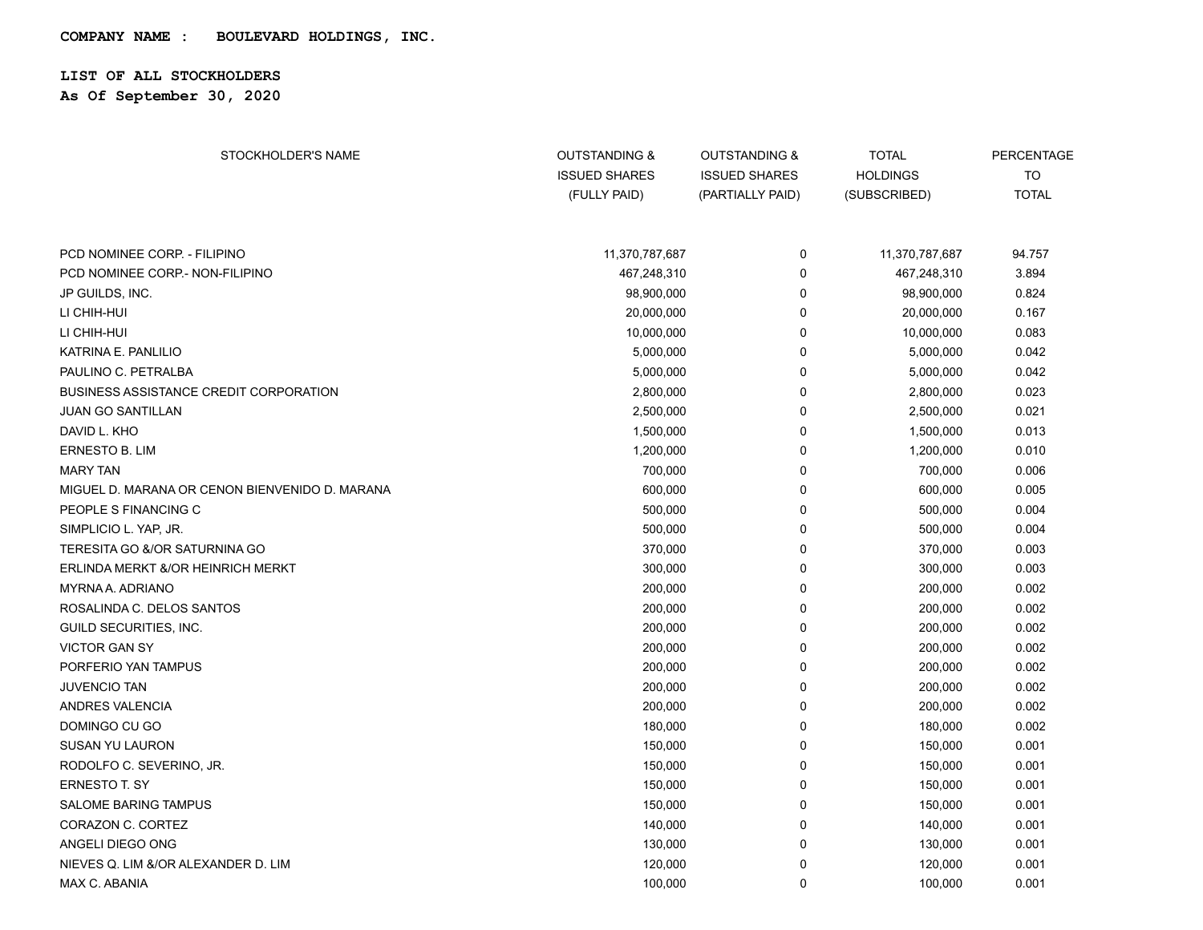## **LIST OF ALL STOCKHOLDERS**

**As Of September 30, 2020**

| STOCKHOLDER'S NAME                             | <b>OUTSTANDING &amp;</b><br><b>ISSUED SHARES</b><br>(FULLY PAID) | <b>OUTSTANDING &amp;</b><br><b>ISSUED SHARES</b><br>(PARTIALLY PAID) | <b>TOTAL</b><br><b>HOLDINGS</b><br>(SUBSCRIBED) | <b>PERCENTAGE</b><br><b>TO</b><br><b>TOTAL</b> |
|------------------------------------------------|------------------------------------------------------------------|----------------------------------------------------------------------|-------------------------------------------------|------------------------------------------------|
| PCD NOMINEE CORP. - FILIPINO                   | 11,370,787,687                                                   | 0                                                                    | 11,370,787,687                                  | 94.757                                         |
| PCD NOMINEE CORP.- NON-FILIPINO                | 467,248,310                                                      | 0                                                                    | 467,248,310                                     | 3.894                                          |
| JP GUILDS, INC.                                | 98,900,000                                                       | 0                                                                    | 98,900,000                                      | 0.824                                          |
| LI CHIH-HUI                                    | 20,000,000                                                       | 0                                                                    | 20,000,000                                      | 0.167                                          |
| LI CHIH-HUI                                    | 10,000,000                                                       | 0                                                                    | 10,000,000                                      | 0.083                                          |
| KATRINA E. PANLILIO                            | 5,000,000                                                        | 0                                                                    | 5,000,000                                       | 0.042                                          |
| PAULINO C. PETRALBA                            | 5,000,000                                                        | 0                                                                    | 5,000,000                                       | 0.042                                          |
| <b>BUSINESS ASSISTANCE CREDIT CORPORATION</b>  | 2,800,000                                                        | 0                                                                    | 2,800,000                                       | 0.023                                          |
| <b>JUAN GO SANTILLAN</b>                       | 2,500,000                                                        | 0                                                                    | 2,500,000                                       | 0.021                                          |
| DAVID L. KHO                                   | 1,500,000                                                        | 0                                                                    | 1,500,000                                       | 0.013                                          |
| <b>ERNESTO B. LIM</b>                          | 1,200,000                                                        | 0                                                                    | 1,200,000                                       | 0.010                                          |
| <b>MARY TAN</b>                                | 700,000                                                          | 0                                                                    | 700,000                                         | 0.006                                          |
| MIGUEL D. MARANA OR CENON BIENVENIDO D. MARANA | 600,000                                                          | 0                                                                    | 600,000                                         | 0.005                                          |
| PEOPLE S FINANCING C                           | 500,000                                                          | $\Omega$                                                             | 500,000                                         | 0.004                                          |
| SIMPLICIO L. YAP, JR.                          | 500,000                                                          | 0                                                                    | 500,000                                         | 0.004                                          |
| TERESITA GO &/OR SATURNINA GO                  | 370,000                                                          | $\mathbf 0$                                                          | 370,000                                         | 0.003                                          |
| ERLINDA MERKT &/OR HEINRICH MERKT              | 300,000                                                          | 0                                                                    | 300,000                                         | 0.003                                          |
| <b>MYRNAA, ADRIANO</b>                         | 200,000                                                          | 0                                                                    | 200,000                                         | 0.002                                          |
| ROSALINDA C. DELOS SANTOS                      | 200,000                                                          | 0                                                                    | 200,000                                         | 0.002                                          |
| GUILD SECURITIES, INC.                         | 200,000                                                          | 0                                                                    | 200,000                                         | 0.002                                          |
| <b>VICTOR GAN SY</b>                           | 200,000                                                          | 0                                                                    | 200,000                                         | 0.002                                          |
| PORFERIO YAN TAMPUS                            | 200,000                                                          | 0                                                                    | 200,000                                         | 0.002                                          |
| <b>JUVENCIO TAN</b>                            | 200,000                                                          | 0                                                                    | 200,000                                         | 0.002                                          |
| ANDRES VALENCIA                                | 200,000                                                          | 0                                                                    | 200,000                                         | 0.002                                          |
| DOMINGO CU GO                                  | 180,000                                                          | 0                                                                    | 180,000                                         | 0.002                                          |
| SUSAN YU LAURON                                | 150,000                                                          | 0                                                                    | 150,000                                         | 0.001                                          |
| RODOLFO C. SEVERINO, JR.                       | 150,000                                                          | 0                                                                    | 150,000                                         | 0.001                                          |
| <b>ERNESTO T. SY</b>                           | 150,000                                                          | 0                                                                    | 150,000                                         | 0.001                                          |
| <b>SALOME BARING TAMPUS</b>                    | 150,000                                                          | 0                                                                    | 150,000                                         | 0.001                                          |
| CORAZON C. CORTEZ                              | 140,000                                                          | 0                                                                    | 140,000                                         | 0.001                                          |
| ANGELI DIEGO ONG                               | 130,000                                                          | 0                                                                    | 130,000                                         | 0.001                                          |
| NIEVES Q. LIM &/OR ALEXANDER D. LIM            | 120,000                                                          | 0                                                                    | 120,000                                         | 0.001                                          |
| MAX C. ABANIA                                  | 100,000                                                          | 0                                                                    | 100,000                                         | 0.001                                          |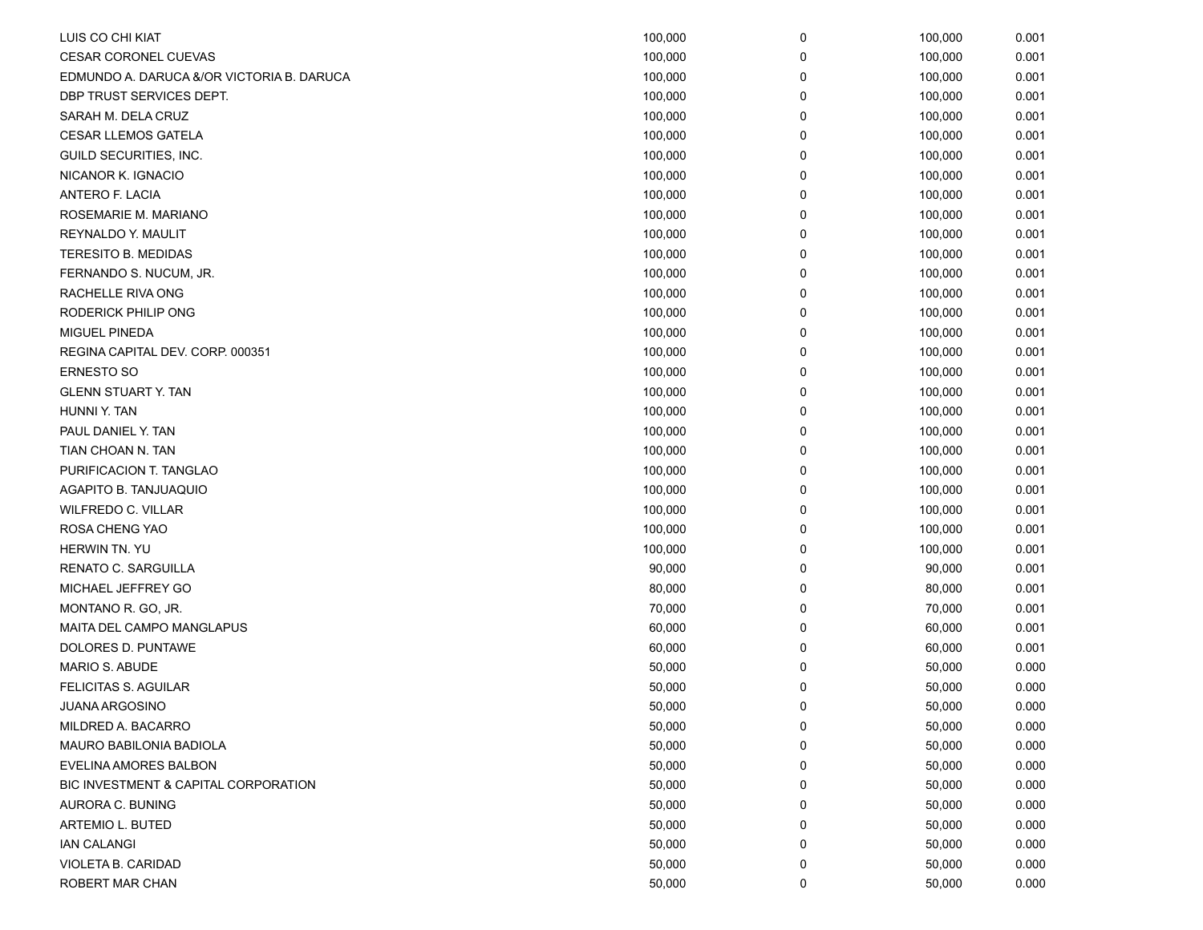| LUIS CO CHI KIAT                          | 100,000 | 0 | 100,000 | 0.001 |
|-------------------------------------------|---------|---|---------|-------|
| <b>CESAR CORONEL CUEVAS</b>               | 100,000 | 0 | 100,000 | 0.001 |
| EDMUNDO A. DARUCA &/OR VICTORIA B. DARUCA | 100,000 | 0 | 100,000 | 0.001 |
| DBP TRUST SERVICES DEPT.                  | 100,000 | 0 | 100,000 | 0.001 |
| SARAH M. DELA CRUZ                        | 100,000 | 0 | 100,000 | 0.001 |
| <b>CESAR LLEMOS GATELA</b>                | 100,000 | 0 | 100,000 | 0.001 |
| GUILD SECURITIES, INC.                    | 100,000 | 0 | 100,000 | 0.001 |
| NICANOR K. IGNACIO                        | 100,000 | 0 | 100,000 | 0.001 |
| ANTERO F. LACIA                           | 100,000 | 0 | 100,000 | 0.001 |
| ROSEMARIE M. MARIANO                      | 100,000 | 0 | 100,000 | 0.001 |
| REYNALDO Y. MAULIT                        | 100,000 | 0 | 100,000 | 0.001 |
| TERESITO B. MEDIDAS                       | 100,000 | 0 | 100,000 | 0.001 |
| FERNANDO S. NUCUM, JR.                    | 100,000 | 0 | 100,000 | 0.001 |
| RACHELLE RIVA ONG                         | 100,000 | 0 | 100,000 | 0.001 |
| RODERICK PHILIP ONG                       | 100,000 | 0 | 100,000 | 0.001 |
| MIGUEL PINEDA                             | 100,000 | 0 | 100,000 | 0.001 |
| REGINA CAPITAL DEV. CORP. 000351          | 100,000 | 0 | 100,000 | 0.001 |
| <b>ERNESTO SO</b>                         | 100,000 | 0 | 100,000 | 0.001 |
| <b>GLENN STUART Y. TAN</b>                | 100,000 | 0 | 100,000 | 0.001 |
| HUNNI Y. TAN                              | 100,000 | 0 | 100,000 | 0.001 |
| PAUL DANIEL Y. TAN                        | 100,000 | 0 | 100,000 | 0.001 |
| TIAN CHOAN N. TAN                         | 100,000 | 0 | 100,000 | 0.001 |
| PURIFICACION T. TANGLAO                   | 100,000 | 0 | 100,000 | 0.001 |
| AGAPITO B. TANJUAQUIO                     | 100,000 | 0 | 100,000 | 0.001 |
| <b>WILFREDO C. VILLAR</b>                 | 100,000 | 0 | 100,000 | 0.001 |
| ROSA CHENG YAO                            | 100,000 | 0 | 100,000 | 0.001 |
| HERWIN TN. YU                             | 100,000 | 0 | 100,000 | 0.001 |
| RENATO C. SARGUILLA                       | 90,000  | 0 | 90,000  | 0.001 |
| MICHAEL JEFFREY GO                        | 80,000  | 0 | 80,000  | 0.001 |
| MONTANO R. GO, JR.                        | 70,000  | 0 | 70,000  | 0.001 |
| MAITA DEL CAMPO MANGLAPUS                 | 60,000  | 0 | 60,000  | 0.001 |
| DOLORES D. PUNTAWE                        | 60,000  | 0 | 60,000  | 0.001 |
| <b>MARIO S. ABUDE</b>                     | 50,000  | 0 | 50,000  | 0.000 |
| <b>FELICITAS S. AGUILAR</b>               | 50,000  | 0 | 50,000  | 0.000 |
| <b>JUANA ARGOSINO</b>                     | 50,000  | 0 | 50,000  | 0.000 |
| MILDRED A. BACARRO                        | 50,000  | 0 | 50,000  | 0.000 |
| MAURO BABILONIA BADIOLA                   | 50,000  | 0 | 50,000  | 0.000 |
| <b>EVELINA AMORES BALBON</b>              | 50,000  | 0 | 50,000  | 0.000 |
| BIC INVESTMENT & CAPITAL CORPORATION      | 50,000  | 0 | 50,000  | 0.000 |
| AURORA C. BUNING                          | 50,000  | 0 | 50,000  | 0.000 |
| ARTEMIO L. BUTED                          | 50,000  | 0 | 50,000  | 0.000 |
| <b>IAN CALANGI</b>                        | 50,000  | 0 | 50,000  | 0.000 |
| VIOLETA B. CARIDAD                        | 50,000  | 0 | 50,000  | 0.000 |
| ROBERT MAR CHAN                           | 50,000  | 0 | 50,000  | 0.000 |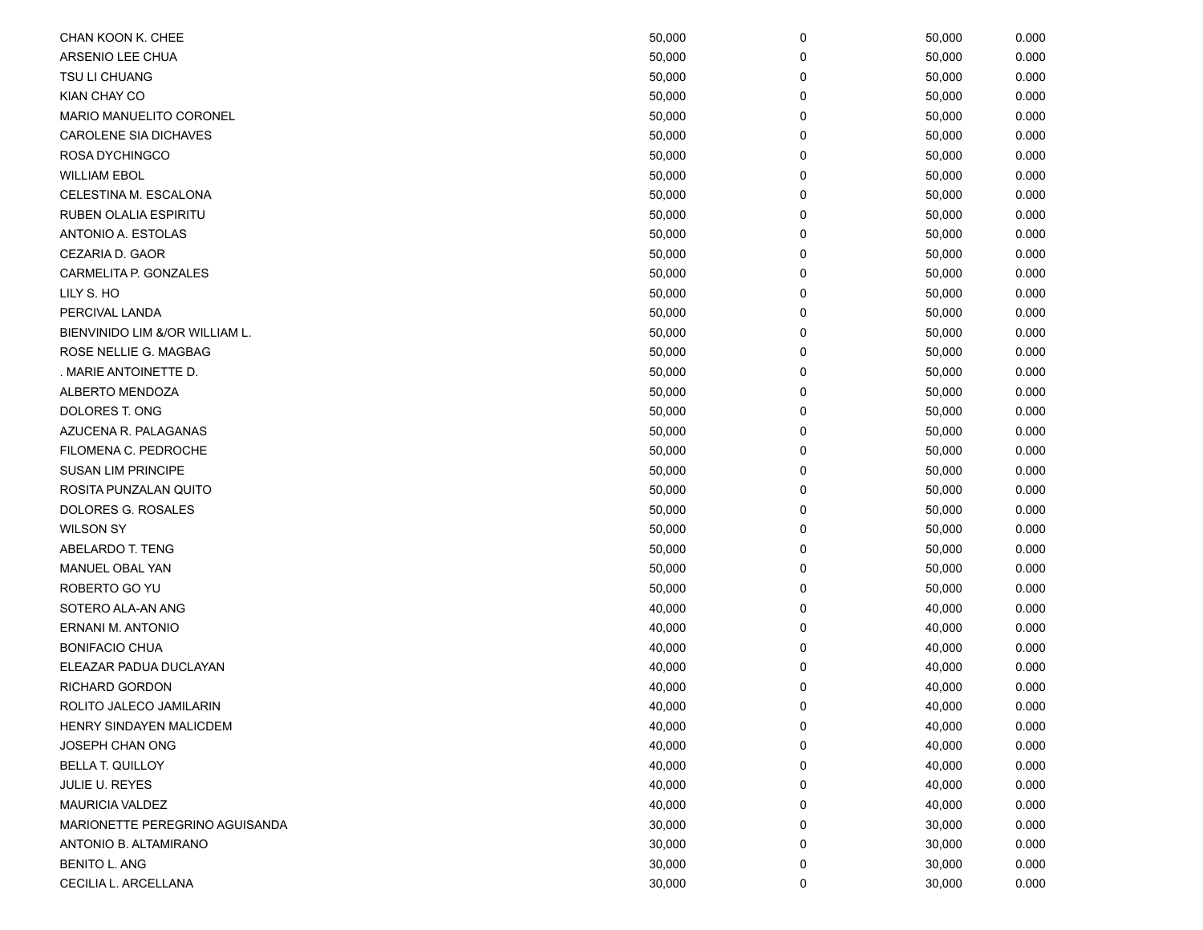| CHAN KOON K. CHEE              | 50,000 | 0 | 50,000 | 0.000 |
|--------------------------------|--------|---|--------|-------|
| ARSENIO LEE CHUA               | 50,000 | 0 | 50,000 | 0.000 |
| TSU LI CHUANG                  | 50,000 | 0 | 50,000 | 0.000 |
| KIAN CHAY CO                   | 50,000 | 0 | 50,000 | 0.000 |
| MARIO MANUELITO CORONEL        | 50,000 | 0 | 50,000 | 0.000 |
| <b>CAROLENE SIA DICHAVES</b>   | 50,000 | 0 | 50,000 | 0.000 |
| ROSA DYCHINGCO                 | 50,000 | 0 | 50,000 | 0.000 |
| <b>WILLIAM EBOL</b>            | 50,000 | 0 | 50,000 | 0.000 |
| CELESTINA M. ESCALONA          | 50,000 | 0 | 50,000 | 0.000 |
| <b>RUBEN OLALIA ESPIRITU</b>   | 50,000 | 0 | 50,000 | 0.000 |
| ANTONIO A. ESTOLAS             | 50,000 | 0 | 50,000 | 0.000 |
| CEZARIA D. GAOR                | 50,000 | 0 | 50,000 | 0.000 |
| CARMELITA P. GONZALES          | 50,000 | 0 | 50,000 | 0.000 |
| LILY S. HO                     | 50,000 | 0 | 50,000 | 0.000 |
| PERCIVAL LANDA                 | 50,000 | 0 | 50,000 | 0.000 |
| BIENVINIDO LIM &/OR WILLIAM L. | 50,000 | 0 | 50,000 | 0.000 |
| ROSE NELLIE G. MAGBAG          | 50,000 | 0 | 50,000 | 0.000 |
| . MARIE ANTOINETTE D.          | 50,000 | 0 | 50,000 | 0.000 |
| ALBERTO MENDOZA                | 50,000 | 0 | 50,000 | 0.000 |
| DOLORES T. ONG                 | 50,000 | 0 | 50,000 | 0.000 |
| AZUCENA R. PALAGANAS           | 50,000 | 0 | 50,000 | 0.000 |
| FILOMENA C. PEDROCHE           | 50,000 | 0 | 50,000 | 0.000 |
| <b>SUSAN LIM PRINCIPE</b>      | 50,000 | 0 | 50,000 | 0.000 |
| ROSITA PUNZALAN QUITO          | 50,000 | 0 | 50,000 | 0.000 |
| DOLORES G. ROSALES             | 50,000 | 0 | 50,000 | 0.000 |
| <b>WILSON SY</b>               | 50,000 | 0 | 50,000 | 0.000 |
| ABELARDO T. TENG               | 50,000 | 0 | 50,000 | 0.000 |
| MANUEL OBAL YAN                | 50,000 | 0 | 50,000 | 0.000 |
| ROBERTO GO YU                  | 50,000 | 0 | 50,000 | 0.000 |
| SOTERO ALA-AN ANG              | 40,000 | 0 | 40,000 | 0.000 |
| ERNANI M. ANTONIO              | 40,000 | 0 | 40,000 | 0.000 |
| <b>BONIFACIO CHUA</b>          | 40,000 | 0 | 40,000 | 0.000 |
| ELEAZAR PADUA DUCLAYAN         | 40,000 | 0 | 40,000 | 0.000 |
| <b>RICHARD GORDON</b>          | 40,000 | 0 | 40,000 | 0.000 |
| ROLITO JALECO JAMILARIN        | 40,000 | 0 | 40,000 | 0.000 |
| HENRY SINDAYEN MALICDEM        | 40,000 | 0 | 40,000 | 0.000 |
| <b>JOSEPH CHAN ONG</b>         | 40,000 | 0 | 40,000 | 0.000 |
| <b>BELLA T. QUILLOY</b>        | 40,000 | 0 | 40,000 | 0.000 |
| JULIE U. REYES                 | 40,000 | 0 | 40,000 | 0.000 |
| <b>MAURICIA VALDEZ</b>         | 40,000 | 0 | 40,000 | 0.000 |
| MARIONETTE PEREGRINO AGUISANDA | 30,000 | 0 | 30,000 | 0.000 |
| ANTONIO B. ALTAMIRANO          | 30,000 | 0 | 30,000 | 0.000 |
| <b>BENITO L. ANG</b>           | 30,000 | 0 | 30,000 | 0.000 |
| CECILIA L. ARCELLANA           | 30,000 | 0 | 30,000 | 0.000 |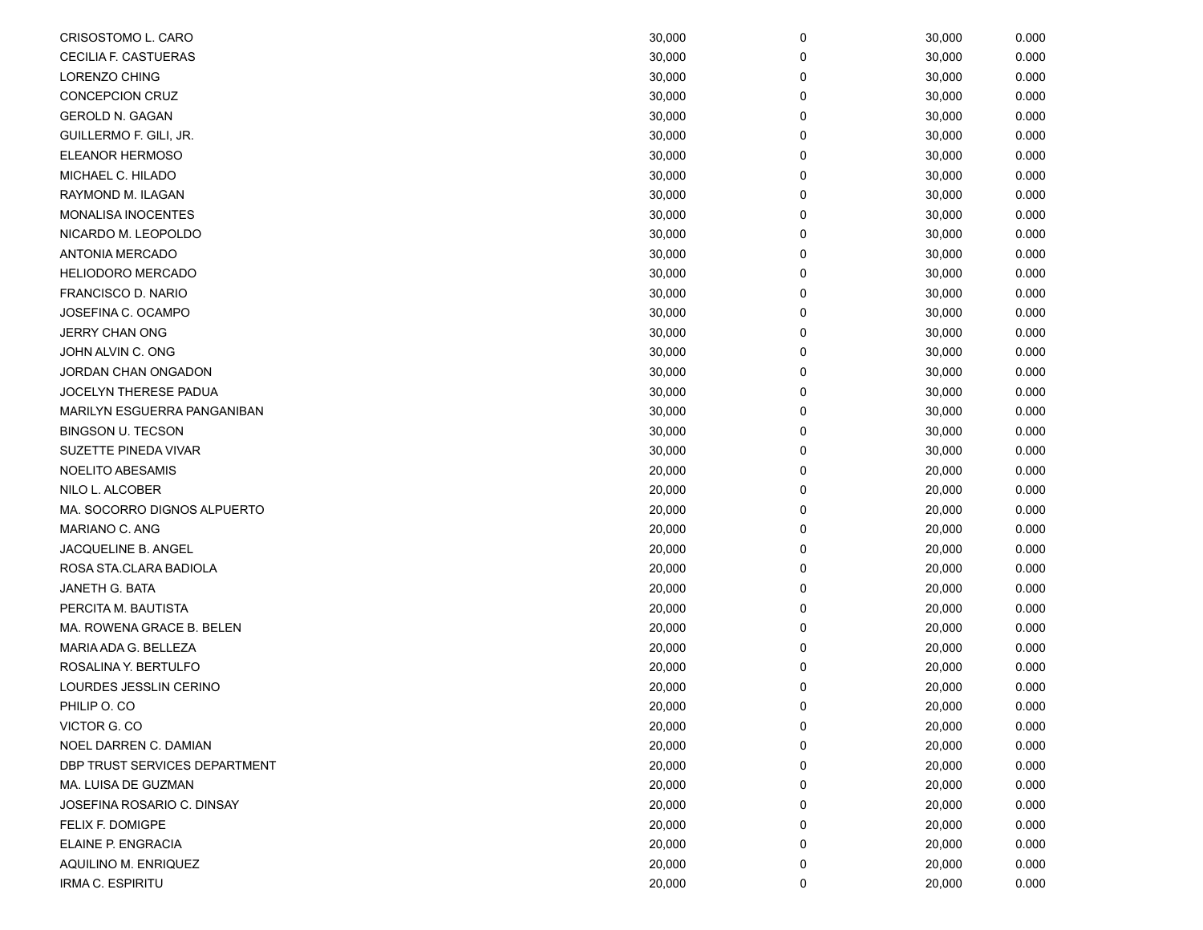| CRISOSTOMO L. CARO            | 30,000 | 0 | 30,000 | 0.000 |
|-------------------------------|--------|---|--------|-------|
| CECILIA F. CASTUERAS          | 30,000 | 0 | 30,000 | 0.000 |
| <b>LORENZO CHING</b>          | 30,000 | 0 | 30,000 | 0.000 |
| <b>CONCEPCION CRUZ</b>        | 30,000 | 0 | 30,000 | 0.000 |
| <b>GEROLD N. GAGAN</b>        | 30,000 | 0 | 30,000 | 0.000 |
| GUILLERMO F. GILI, JR.        | 30,000 | 0 | 30,000 | 0.000 |
| <b>ELEANOR HERMOSO</b>        | 30,000 | 0 | 30,000 | 0.000 |
| MICHAEL C. HILADO             | 30,000 | 0 | 30,000 | 0.000 |
| RAYMOND M. ILAGAN             | 30,000 | 0 | 30,000 | 0.000 |
| <b>MONALISA INOCENTES</b>     | 30,000 | 0 | 30,000 | 0.000 |
| NICARDO M. LEOPOLDO           | 30,000 | 0 | 30,000 | 0.000 |
| ANTONIA MERCADO               | 30,000 | 0 | 30,000 | 0.000 |
| <b>HELIODORO MERCADO</b>      | 30,000 | 0 | 30,000 | 0.000 |
| FRANCISCO D. NARIO            | 30,000 | 0 | 30,000 | 0.000 |
| JOSEFINA C. OCAMPO            | 30,000 | 0 | 30,000 | 0.000 |
| JERRY CHAN ONG                | 30,000 | 0 | 30,000 | 0.000 |
| JOHN ALVIN C. ONG             | 30,000 | 0 | 30,000 | 0.000 |
| JORDAN CHAN ONGADON           | 30,000 | 0 | 30,000 | 0.000 |
| <b>JOCELYN THERESE PADUA</b>  | 30,000 | 0 | 30,000 | 0.000 |
| MARILYN ESGUERRA PANGANIBAN   | 30,000 | 0 | 30,000 | 0.000 |
| <b>BINGSON U. TECSON</b>      | 30,000 | 0 | 30,000 | 0.000 |
| SUZETTE PINEDA VIVAR          | 30,000 | 0 | 30,000 | 0.000 |
| NOELITO ABESAMIS              | 20,000 | 0 | 20,000 | 0.000 |
| NILO L. ALCOBER               | 20,000 | 0 | 20,000 | 0.000 |
| MA. SOCORRO DIGNOS ALPUERTO   | 20,000 | 0 | 20,000 | 0.000 |
| MARIANO C. ANG                | 20,000 | 0 | 20,000 | 0.000 |
| JACQUELINE B. ANGEL           | 20,000 | 0 | 20,000 | 0.000 |
| ROSA STA.CLARA BADIOLA        | 20,000 | 0 | 20,000 | 0.000 |
| JANETH G. BATA                | 20,000 | 0 | 20,000 | 0.000 |
| PERCITA M. BAUTISTA           | 20,000 | 0 | 20,000 | 0.000 |
| MA. ROWENA GRACE B. BELEN     | 20,000 | 0 | 20,000 | 0.000 |
| MARIA ADA G. BELLEZA          | 20,000 | 0 | 20,000 | 0.000 |
| ROSALINA Y. BERTULFO          | 20,000 | 0 | 20,000 | 0.000 |
| LOURDES JESSLIN CERINO        | 20,000 | 0 | 20,000 | 0.000 |
| PHILIP O. CO                  | 20,000 | 0 | 20,000 | 0.000 |
| VICTOR G. CO                  | 20,000 | 0 | 20,000 | 0.000 |
| NOEL DARREN C. DAMIAN         | 20,000 | 0 | 20,000 | 0.000 |
| DBP TRUST SERVICES DEPARTMENT | 20,000 | 0 | 20,000 | 0.000 |
| MA. LUISA DE GUZMAN           | 20,000 | 0 | 20,000 | 0.000 |
| JOSEFINA ROSARIO C. DINSAY    | 20,000 | 0 | 20,000 | 0.000 |
| FELIX F. DOMIGPE              | 20,000 | 0 | 20,000 | 0.000 |
| ELAINE P. ENGRACIA            | 20,000 | 0 | 20,000 | 0.000 |
| AQUILINO M. ENRIQUEZ          | 20,000 | 0 | 20,000 | 0.000 |
| IRMA C. ESPIRITU              | 20,000 | 0 | 20,000 | 0.000 |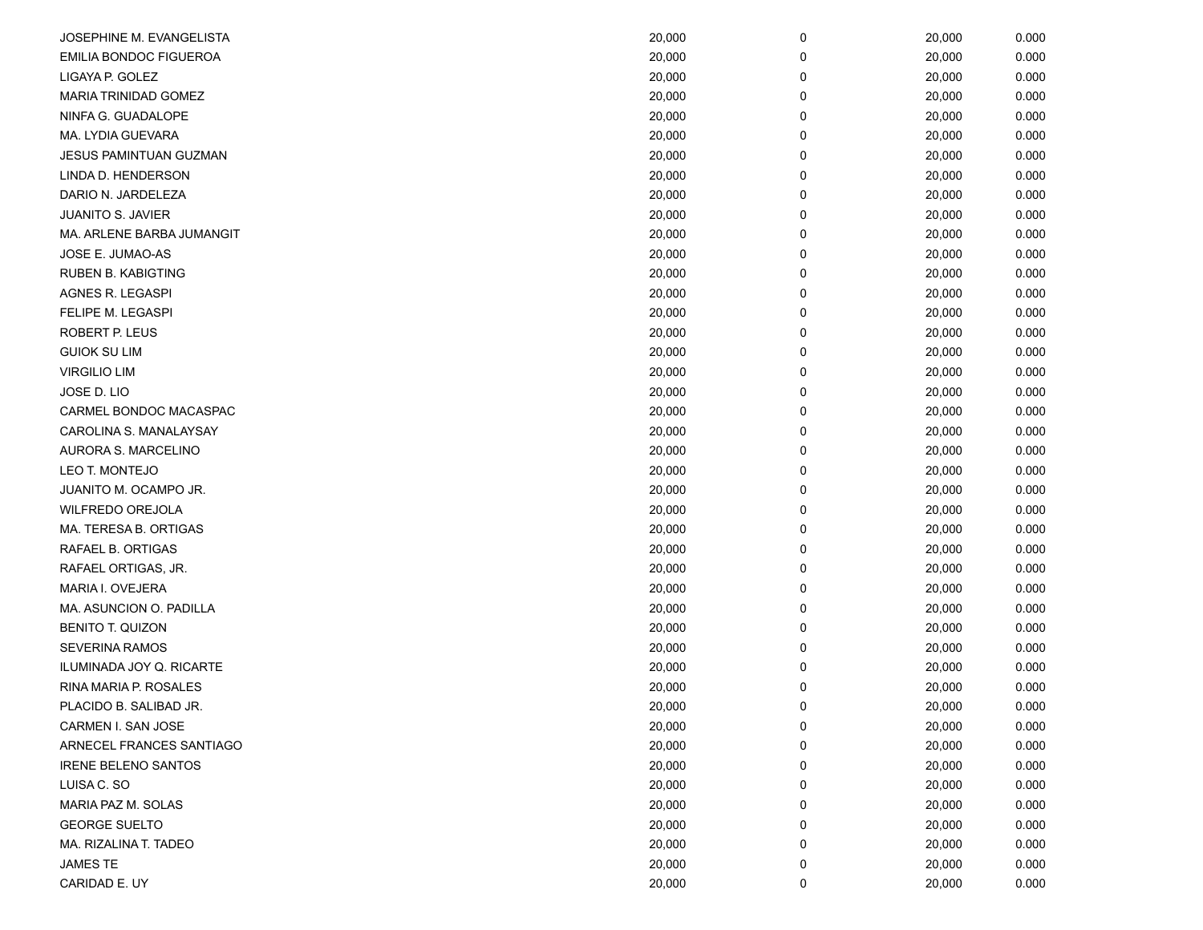| JOSEPHINE M. EVANGELISTA      | 20,000 | 0 | 20,000 | 0.000 |
|-------------------------------|--------|---|--------|-------|
| <b>EMILIA BONDOC FIGUEROA</b> | 20,000 | 0 | 20,000 | 0.000 |
| LIGAYA P. GOLEZ               | 20,000 | 0 | 20,000 | 0.000 |
| MARIA TRINIDAD GOMEZ          | 20,000 | 0 | 20,000 | 0.000 |
| NINFA G. GUADALOPE            | 20,000 | 0 | 20,000 | 0.000 |
| MA. LYDIA GUEVARA             | 20,000 | 0 | 20,000 | 0.000 |
| JESUS PAMINTUAN GUZMAN        | 20,000 | 0 | 20,000 | 0.000 |
| LINDA D. HENDERSON            | 20,000 | 0 | 20,000 | 0.000 |
| DARIO N. JARDELEZA            | 20,000 | 0 | 20,000 | 0.000 |
| <b>JUANITO S. JAVIER</b>      | 20,000 | 0 | 20,000 | 0.000 |
| MA. ARLENE BARBA JUMANGIT     | 20,000 | 0 | 20,000 | 0.000 |
| JOSE E. JUMAO-AS              | 20,000 | 0 | 20,000 | 0.000 |
| RUBEN B. KABIGTING            | 20,000 | 0 | 20,000 | 0.000 |
| AGNES R. LEGASPI              | 20,000 | 0 | 20,000 | 0.000 |
| FELIPE M. LEGASPI             | 20,000 | 0 | 20,000 | 0.000 |
| <b>ROBERT P. LEUS</b>         | 20,000 | 0 | 20,000 | 0.000 |
| <b>GUIOK SU LIM</b>           | 20,000 | 0 | 20,000 | 0.000 |
| <b>VIRGILIO LIM</b>           | 20,000 | 0 | 20,000 | 0.000 |
| JOSE D. LIO                   | 20,000 | 0 | 20,000 | 0.000 |
| CARMEL BONDOC MACASPAC        | 20,000 | 0 | 20,000 | 0.000 |
| CAROLINA S. MANALAYSAY        | 20,000 | 0 | 20,000 | 0.000 |
| AURORA S. MARCELINO           | 20,000 | 0 | 20,000 | 0.000 |
| LEO T. MONTEJO                | 20,000 | 0 | 20,000 | 0.000 |
| JUANITO M. OCAMPO JR.         | 20,000 | 0 | 20,000 | 0.000 |
| WILFREDO OREJOLA              | 20,000 | 0 | 20,000 | 0.000 |
| MA. TERESA B. ORTIGAS         | 20,000 | 0 | 20,000 | 0.000 |
| RAFAEL B. ORTIGAS             | 20,000 | 0 | 20,000 | 0.000 |
| RAFAEL ORTIGAS, JR.           | 20,000 | 0 | 20,000 | 0.000 |
| MARIA I. OVEJERA              | 20,000 | 0 | 20,000 | 0.000 |
| MA. ASUNCION O. PADILLA       | 20,000 | 0 | 20,000 | 0.000 |
| <b>BENITO T. QUIZON</b>       | 20,000 | 0 | 20,000 | 0.000 |
| <b>SEVERINA RAMOS</b>         | 20,000 | 0 | 20,000 | 0.000 |
| ILUMINADA JOY Q. RICARTE      | 20,000 | 0 | 20,000 | 0.000 |
| RINA MARIA P. ROSALES         | 20,000 | 0 | 20,000 | 0.000 |
| PLACIDO B. SALIBAD JR.        | 20,000 | 0 | 20,000 | 0.000 |
| CARMEN I. SAN JOSE            | 20,000 | 0 | 20,000 | 0.000 |
| ARNECEL FRANCES SANTIAGO      | 20,000 | 0 | 20,000 | 0.000 |
| <b>IRENE BELENO SANTOS</b>    | 20,000 | 0 | 20,000 | 0.000 |
| LUISA C. SO                   | 20,000 | 0 | 20,000 | 0.000 |
| MARIA PAZ M. SOLAS            | 20,000 | 0 | 20,000 | 0.000 |
| <b>GEORGE SUELTO</b>          | 20,000 | 0 | 20,000 | 0.000 |
| MA. RIZALINA T. TADEO         | 20,000 | 0 | 20,000 | 0.000 |
| JAMES TE                      | 20,000 | 0 | 20,000 | 0.000 |
| CARIDAD E. UY                 | 20,000 | 0 | 20,000 | 0.000 |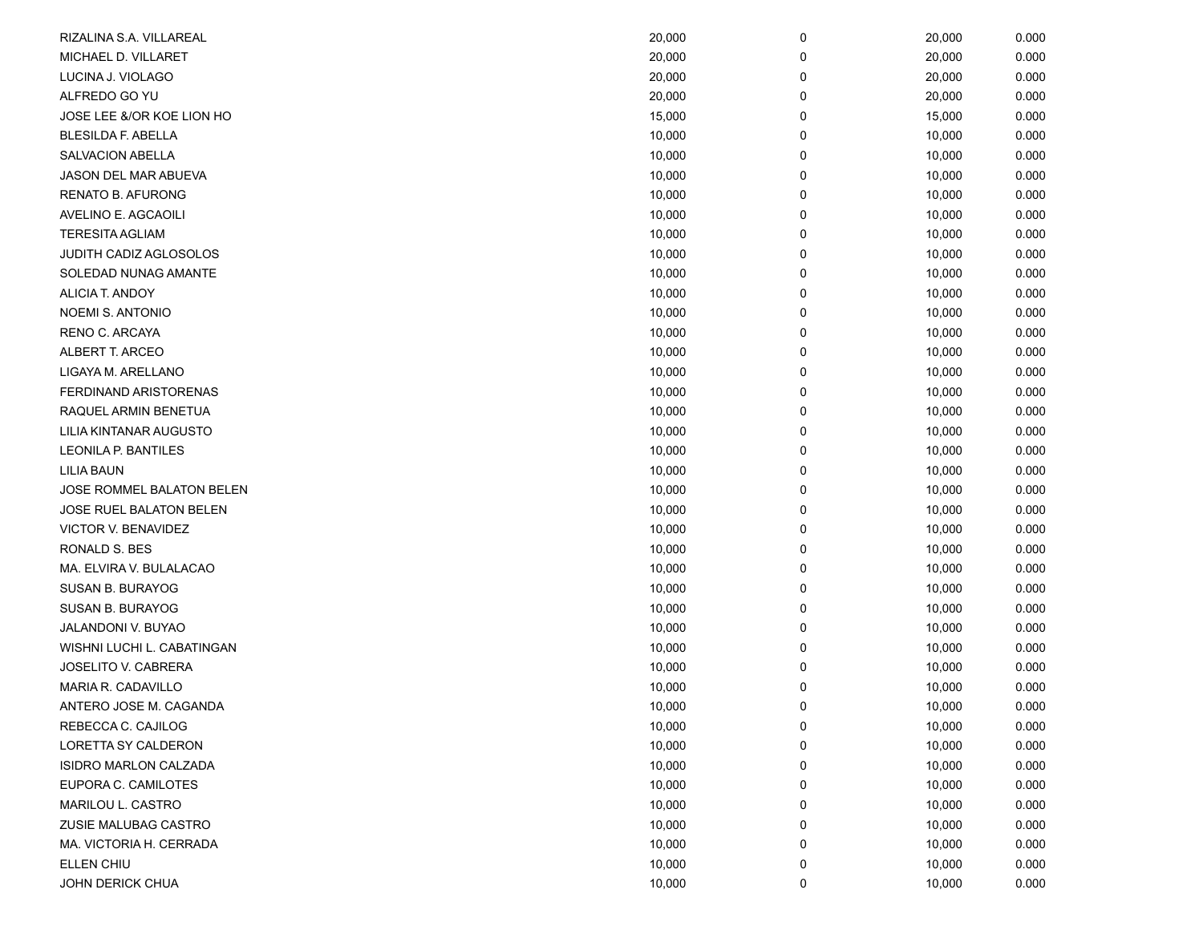| RIZALINA S.A. VILLAREAL    | 20,000 | 0 | 20,000 | 0.000 |
|----------------------------|--------|---|--------|-------|
| MICHAEL D. VILLARET        | 20,000 | 0 | 20,000 | 0.000 |
| LUCINA J. VIOLAGO          | 20,000 | 0 | 20,000 | 0.000 |
| ALFREDO GO YU              | 20,000 | 0 | 20,000 | 0.000 |
| JOSE LEE &/OR KOE LION HO  | 15,000 | 0 | 15,000 | 0.000 |
| <b>BLESILDA F. ABELLA</b>  | 10,000 | 0 | 10,000 | 0.000 |
| <b>SALVACION ABELLA</b>    | 10,000 | 0 | 10,000 | 0.000 |
| JASON DEL MAR ABUEVA       | 10,000 | 0 | 10,000 | 0.000 |
| <b>RENATO B. AFURONG</b>   | 10,000 | 0 | 10,000 | 0.000 |
| AVELINO E. AGCAOILI        | 10,000 | 0 | 10,000 | 0.000 |
| <b>TERESITA AGLIAM</b>     | 10,000 | 0 | 10,000 | 0.000 |
| JUDITH CADIZ AGLOSOLOS     | 10,000 | 0 | 10,000 | 0.000 |
| SOLEDAD NUNAG AMANTE       | 10,000 | 0 | 10,000 | 0.000 |
| ALICIA T. ANDOY            | 10,000 | 0 | 10,000 | 0.000 |
| NOEMI S. ANTONIO           | 10,000 | 0 | 10,000 | 0.000 |
| RENO C. ARCAYA             | 10,000 | 0 | 10,000 | 0.000 |
| ALBERT T. ARCEO            | 10,000 | 0 | 10,000 | 0.000 |
| LIGAYA M. ARELLANO         | 10,000 | 0 | 10,000 | 0.000 |
| FERDINAND ARISTORENAS      | 10,000 | 0 | 10,000 | 0.000 |
| RAQUEL ARMIN BENETUA       | 10,000 | 0 | 10,000 | 0.000 |
| LILIA KINTANAR AUGUSTO     | 10,000 | 0 | 10,000 | 0.000 |
| <b>LEONILA P. BANTILES</b> | 10,000 | 0 | 10,000 | 0.000 |
| <b>LILIA BAUN</b>          | 10,000 | 0 | 10,000 | 0.000 |
| JOSE ROMMEL BALATON BELEN  | 10,000 | 0 | 10,000 | 0.000 |
| JOSE RUEL BALATON BELEN    | 10,000 | 0 | 10,000 | 0.000 |
| VICTOR V. BENAVIDEZ        | 10,000 | 0 | 10,000 | 0.000 |
| RONALD S. BES              | 10,000 | 0 | 10,000 | 0.000 |
| MA. ELVIRA V. BULALACAO    | 10,000 | 0 | 10,000 | 0.000 |
| SUSAN B. BURAYOG           | 10,000 | 0 | 10,000 | 0.000 |
| SUSAN B. BURAYOG           | 10,000 | 0 | 10,000 | 0.000 |
| <b>JALANDONI V. BUYAO</b>  | 10,000 | 0 | 10,000 | 0.000 |
| WISHNI LUCHI L. CABATINGAN | 10,000 | 0 | 10,000 | 0.000 |
| <b>JOSELITO V. CABRERA</b> | 10,000 | 0 | 10,000 | 0.000 |
| MARIA R. CADAVILLO         | 10,000 | 0 | 10,000 | 0.000 |
| ANTERO JOSE M. CAGANDA     | 10,000 | 0 | 10,000 | 0.000 |
| REBECCA C. CAJILOG         | 10,000 | 0 | 10,000 | 0.000 |
| <b>LORETTA SY CALDERON</b> | 10,000 | 0 | 10,000 | 0.000 |
| ISIDRO MARLON CALZADA      | 10,000 | 0 | 10,000 | 0.000 |
| EUPORA C. CAMILOTES        | 10,000 | 0 | 10,000 | 0.000 |
| MARILOU L. CASTRO          | 10,000 | 0 | 10,000 | 0.000 |
| ZUSIE MALUBAG CASTRO       | 10,000 | 0 | 10,000 | 0.000 |
| MA. VICTORIA H. CERRADA    | 10,000 | 0 | 10,000 | 0.000 |
| ELLEN CHIU                 | 10,000 | 0 | 10,000 | 0.000 |
| JOHN DERICK CHUA           | 10,000 | 0 | 10,000 | 0.000 |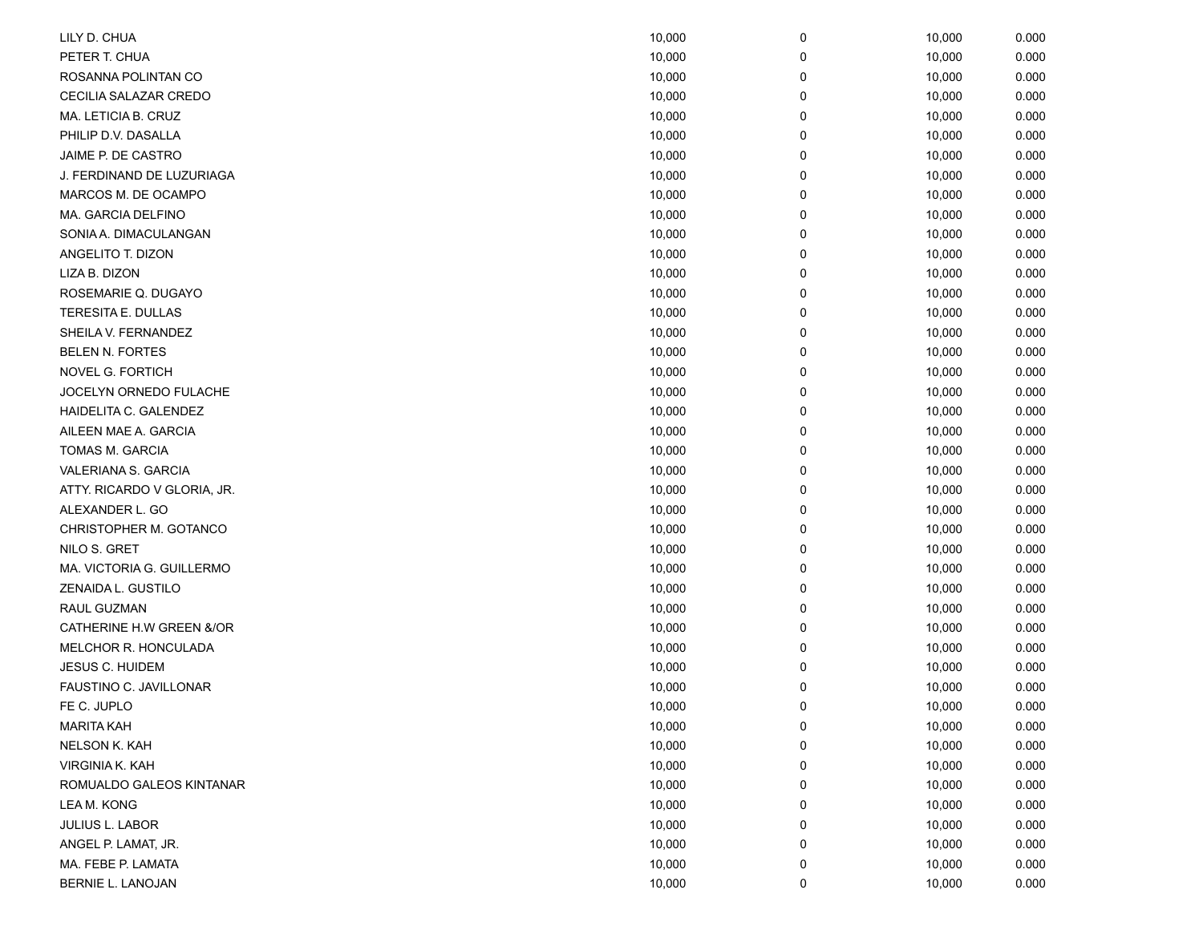| LILY D. CHUA                | 10,000 | 0 | 10,000 | 0.000 |
|-----------------------------|--------|---|--------|-------|
| PETER T. CHUA               | 10,000 | 0 | 10,000 | 0.000 |
| ROSANNA POLINTAN CO         | 10,000 | 0 | 10,000 | 0.000 |
| CECILIA SALAZAR CREDO       | 10,000 | 0 | 10,000 | 0.000 |
| MA. LETICIA B. CRUZ         | 10,000 | 0 | 10,000 | 0.000 |
| PHILIP D.V. DASALLA         | 10,000 | 0 | 10,000 | 0.000 |
| JAIME P. DE CASTRO          | 10,000 | 0 | 10,000 | 0.000 |
| J. FERDINAND DE LUZURIAGA   | 10,000 | 0 | 10,000 | 0.000 |
| MARCOS M. DE OCAMPO         | 10,000 | 0 | 10,000 | 0.000 |
| MA. GARCIA DELFINO          | 10,000 | 0 | 10,000 | 0.000 |
| SONIA A. DIMACULANGAN       | 10,000 | 0 | 10,000 | 0.000 |
| ANGELITO T. DIZON           | 10,000 | 0 | 10,000 | 0.000 |
| LIZA B. DIZON               | 10,000 | 0 | 10,000 | 0.000 |
| ROSEMARIE Q. DUGAYO         | 10,000 | 0 | 10,000 | 0.000 |
| TERESITA E. DULLAS          | 10,000 | 0 | 10,000 | 0.000 |
| SHEILA V. FERNANDEZ         | 10,000 | 0 | 10,000 | 0.000 |
| <b>BELEN N. FORTES</b>      | 10,000 | 0 | 10,000 | 0.000 |
| NOVEL G. FORTICH            | 10,000 | 0 | 10,000 | 0.000 |
| JOCELYN ORNEDO FULACHE      | 10,000 | 0 | 10,000 | 0.000 |
| HAIDELITA C. GALENDEZ       | 10,000 | 0 | 10,000 | 0.000 |
| AILEEN MAE A. GARCIA        | 10,000 | 0 | 10,000 | 0.000 |
| TOMAS M. GARCIA             | 10,000 | 0 | 10,000 | 0.000 |
| VALERIANA S. GARCIA         | 10,000 | 0 | 10,000 | 0.000 |
| ATTY. RICARDO V GLORIA, JR. | 10,000 | 0 | 10,000 | 0.000 |
| ALEXANDER L. GO             | 10,000 | 0 | 10,000 | 0.000 |
| CHRISTOPHER M. GOTANCO      | 10,000 | 0 | 10,000 | 0.000 |
| NILO S. GRET                | 10,000 | 0 | 10,000 | 0.000 |
| MA. VICTORIA G. GUILLERMO   | 10,000 | 0 | 10,000 | 0.000 |
| ZENAIDA L. GUSTILO          | 10,000 | 0 | 10,000 | 0.000 |
| RAUL GUZMAN                 | 10,000 | 0 | 10,000 | 0.000 |
| CATHERINE H.W GREEN &/OR    | 10,000 | 0 | 10,000 | 0.000 |
| MELCHOR R. HONCULADA        | 10,000 | 0 | 10,000 | 0.000 |
| <b>JESUS C. HUIDEM</b>      | 10,000 | 0 | 10,000 | 0.000 |
| FAUSTINO C. JAVILLONAR      | 10,000 | 0 | 10,000 | 0.000 |
| FE C. JUPLO                 | 10,000 | 0 | 10,000 | 0.000 |
| <b>MARITA KAH</b>           | 10,000 | 0 | 10,000 | 0.000 |
| NELSON K. KAH               | 10,000 | 0 | 10,000 | 0.000 |
| VIRGINIA K. KAH             | 10,000 | 0 | 10,000 | 0.000 |
| ROMUALDO GALEOS KINTANAR    | 10,000 | 0 | 10,000 | 0.000 |
| LEA M. KONG                 | 10,000 | 0 | 10,000 | 0.000 |
| JULIUS L. LABOR             | 10,000 | 0 | 10,000 | 0.000 |
| ANGEL P. LAMAT, JR.         | 10,000 | 0 | 10,000 | 0.000 |
| MA. FEBE P. LAMATA          | 10,000 | 0 | 10,000 | 0.000 |
| BERNIE L. LANOJAN           | 10,000 | 0 | 10,000 | 0.000 |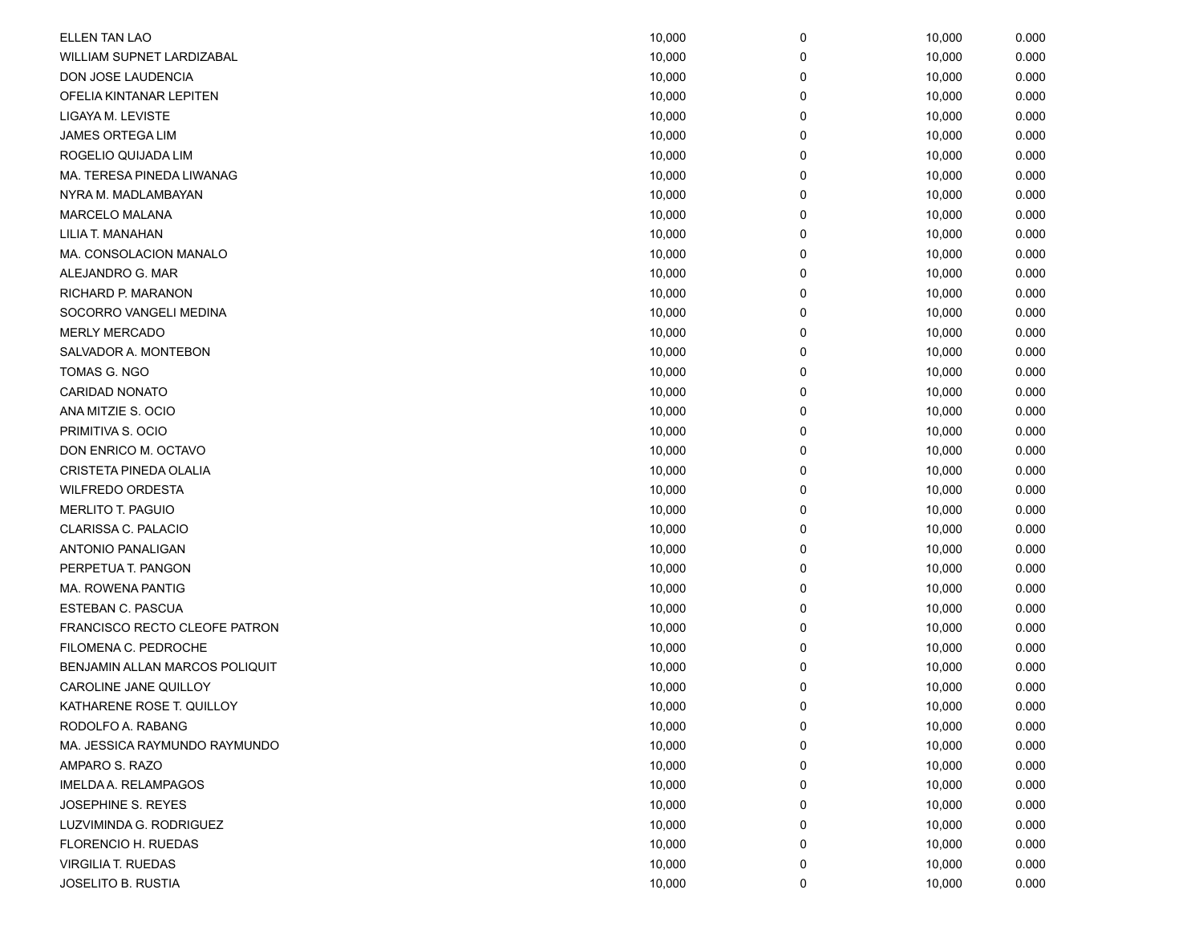| <b>ELLEN TAN LAO</b>           | 10,000 | 0 | 10,000 | 0.000 |
|--------------------------------|--------|---|--------|-------|
| WILLIAM SUPNET LARDIZABAL      | 10,000 | 0 | 10,000 | 0.000 |
| DON JOSE LAUDENCIA             | 10,000 | 0 | 10,000 | 0.000 |
| OFELIA KINTANAR LEPITEN        | 10,000 | 0 | 10,000 | 0.000 |
| LIGAYA M. LEVISTE              | 10,000 | 0 | 10,000 | 0.000 |
| JAMES ORTEGA LIM               | 10,000 | 0 | 10,000 | 0.000 |
| ROGELIO QUIJADA LIM            | 10,000 | 0 | 10,000 | 0.000 |
| MA. TERESA PINEDA LIWANAG      | 10,000 | 0 | 10,000 | 0.000 |
| NYRA M. MADLAMBAYAN            | 10,000 | 0 | 10,000 | 0.000 |
| MARCELO MALANA                 | 10,000 | 0 | 10,000 | 0.000 |
| LILIA T. MANAHAN               | 10,000 | 0 | 10,000 | 0.000 |
| MA. CONSOLACION MANALO         | 10,000 | 0 | 10,000 | 0.000 |
| ALEJANDRO G. MAR               | 10,000 | 0 | 10,000 | 0.000 |
| RICHARD P. MARANON             | 10,000 | 0 | 10,000 | 0.000 |
| SOCORRO VANGELI MEDINA         | 10,000 | 0 | 10,000 | 0.000 |
| <b>MERLY MERCADO</b>           | 10,000 | 0 | 10,000 | 0.000 |
| SALVADOR A. MONTEBON           | 10,000 | 0 | 10,000 | 0.000 |
| TOMAS G. NGO                   | 10,000 | 0 | 10,000 | 0.000 |
| <b>CARIDAD NONATO</b>          | 10,000 | 0 | 10,000 | 0.000 |
| ANA MITZIE S. OCIO             | 10,000 | 0 | 10,000 | 0.000 |
| PRIMITIVA S. OCIO              | 10,000 | 0 | 10,000 | 0.000 |
| DON ENRICO M. OCTAVO           | 10,000 | 0 | 10,000 | 0.000 |
| CRISTETA PINEDA OLALIA         | 10,000 | 0 | 10,000 | 0.000 |
| <b>WILFREDO ORDESTA</b>        | 10,000 | 0 | 10,000 | 0.000 |
| <b>MERLITO T. PAGUIO</b>       | 10,000 | 0 | 10,000 | 0.000 |
| CLARISSA C. PALACIO            | 10,000 | 0 | 10,000 | 0.000 |
| <b>ANTONIO PANALIGAN</b>       | 10,000 | 0 | 10,000 | 0.000 |
| PERPETUA T. PANGON             | 10,000 | 0 | 10,000 | 0.000 |
| MA. ROWENA PANTIG              | 10,000 | 0 | 10,000 | 0.000 |
| ESTEBAN C. PASCUA              | 10,000 | 0 | 10,000 | 0.000 |
| FRANCISCO RECTO CLEOFE PATRON  | 10,000 | 0 | 10,000 | 0.000 |
| FILOMENA C. PEDROCHE           | 10,000 | 0 | 10,000 | 0.000 |
| BENJAMIN ALLAN MARCOS POLIQUIT | 10,000 | 0 | 10,000 | 0.000 |
| CAROLINE JANE QUILLOY          | 10,000 | 0 | 10,000 | 0.000 |
| KATHARENE ROSE T. QUILLOY      | 10,000 | 0 | 10,000 | 0.000 |
| RODOLFO A. RABANG              | 10,000 | 0 | 10,000 | 0.000 |
| MA. JESSICA RAYMUNDO RAYMUNDO  | 10,000 | 0 | 10,000 | 0.000 |
| AMPARO S. RAZO                 | 10,000 | 0 | 10,000 | 0.000 |
| IMELDA A. RELAMPAGOS           | 10,000 | 0 | 10,000 | 0.000 |
| JOSEPHINE S. REYES             | 10,000 | 0 | 10,000 | 0.000 |
| LUZVIMINDA G. RODRIGUEZ        | 10,000 | 0 | 10,000 | 0.000 |
| FLORENCIO H. RUEDAS            | 10,000 | 0 | 10,000 | 0.000 |
| <b>VIRGILIA T. RUEDAS</b>      | 10,000 | 0 | 10,000 | 0.000 |
| JOSELITO B. RUSTIA             | 10,000 | 0 | 10,000 | 0.000 |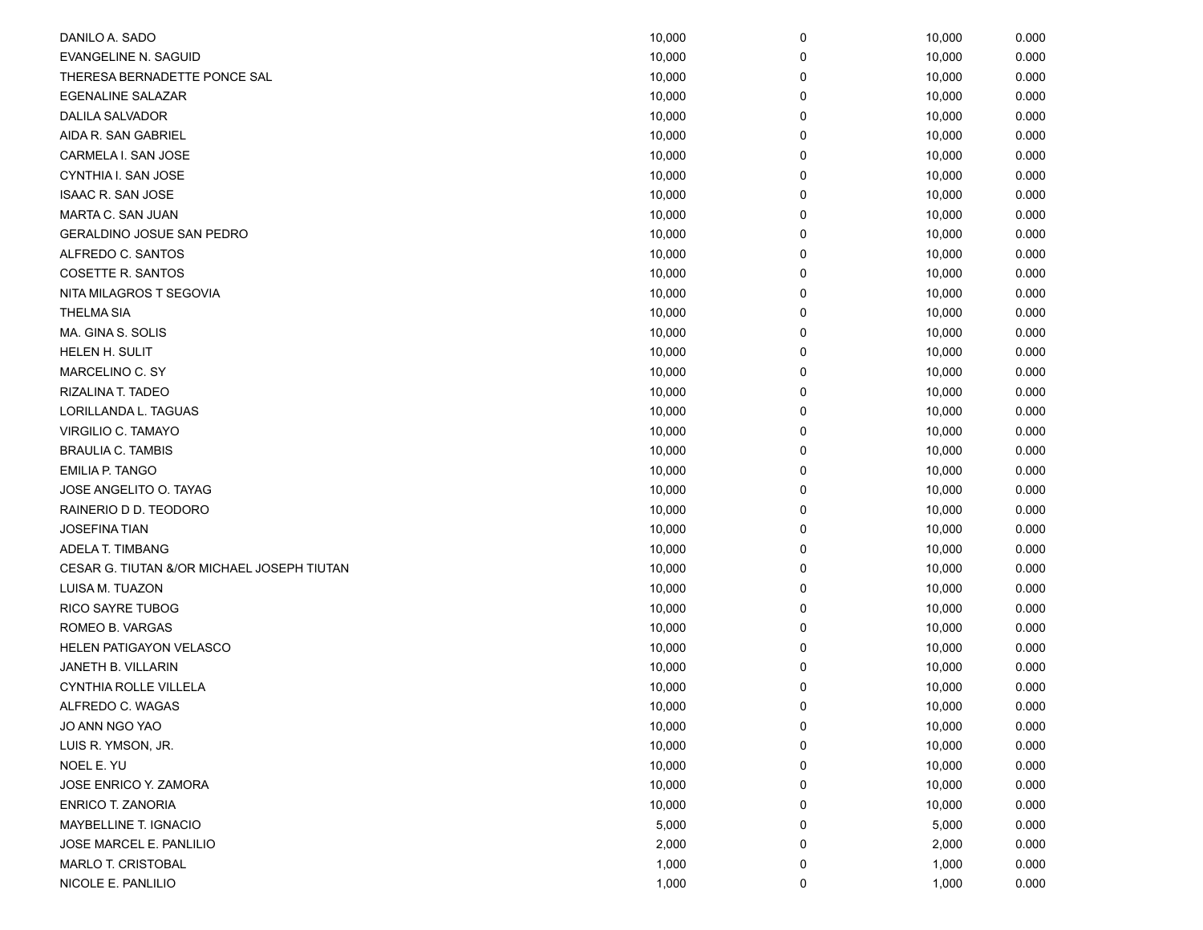| DANILO A. SADO                             | 10,000 | 0 | 10,000 | 0.000 |
|--------------------------------------------|--------|---|--------|-------|
| <b>EVANGELINE N. SAGUID</b>                | 10,000 | 0 | 10,000 | 0.000 |
| THERESA BERNADETTE PONCE SAL               | 10,000 | 0 | 10,000 | 0.000 |
| <b>EGENALINE SALAZAR</b>                   | 10,000 | 0 | 10,000 | 0.000 |
| <b>DALILA SALVADOR</b>                     | 10,000 | 0 | 10,000 | 0.000 |
| AIDA R. SAN GABRIEL                        | 10,000 | 0 | 10,000 | 0.000 |
| CARMELA I. SAN JOSE                        | 10,000 | 0 | 10,000 | 0.000 |
| CYNTHIA I. SAN JOSE                        | 10,000 | 0 | 10,000 | 0.000 |
| <b>ISAAC R. SAN JOSE</b>                   | 10,000 | 0 | 10,000 | 0.000 |
| MARTA C. SAN JUAN                          | 10,000 | 0 | 10,000 | 0.000 |
| GERALDINO JOSUE SAN PEDRO                  | 10,000 | 0 | 10,000 | 0.000 |
| ALFREDO C. SANTOS                          | 10,000 | 0 | 10,000 | 0.000 |
| COSETTE R. SANTOS                          | 10,000 | 0 | 10,000 | 0.000 |
| NITA MILAGROS T SEGOVIA                    | 10,000 | 0 | 10,000 | 0.000 |
| <b>THELMA SIA</b>                          | 10,000 | 0 | 10,000 | 0.000 |
| MA. GINA S. SOLIS                          | 10,000 | 0 | 10,000 | 0.000 |
| HELEN H. SULIT                             | 10,000 | 0 | 10,000 | 0.000 |
| MARCELINO C. SY                            | 10,000 | 0 | 10,000 | 0.000 |
| RIZALINA T. TADEO                          | 10,000 | 0 | 10,000 | 0.000 |
| LORILLANDA L. TAGUAS                       | 10,000 | 0 | 10,000 | 0.000 |
| VIRGILIO C. TAMAYO                         | 10,000 | 0 | 10,000 | 0.000 |
| <b>BRAULIA C. TAMBIS</b>                   | 10,000 | 0 | 10,000 | 0.000 |
| <b>EMILIA P. TANGO</b>                     | 10,000 | 0 | 10,000 | 0.000 |
| JOSE ANGELITO O. TAYAG                     | 10,000 | 0 | 10,000 | 0.000 |
| RAINERIO D D. TEODORO                      | 10,000 | 0 | 10,000 | 0.000 |
| <b>JOSEFINA TIAN</b>                       | 10,000 | 0 | 10,000 | 0.000 |
| ADELA T. TIMBANG                           | 10,000 | 0 | 10,000 | 0.000 |
| CESAR G. TIUTAN &/OR MICHAEL JOSEPH TIUTAN | 10,000 | 0 | 10,000 | 0.000 |
| LUISA M. TUAZON                            | 10,000 | 0 | 10,000 | 0.000 |
| RICO SAYRE TUBOG                           | 10,000 | 0 | 10,000 | 0.000 |
| ROMEO B. VARGAS                            | 10,000 | 0 | 10,000 | 0.000 |
| HELEN PATIGAYON VELASCO                    | 10,000 | 0 | 10,000 | 0.000 |
| JANETH B. VILLARIN                         | 10,000 | 0 | 10,000 | 0.000 |
| CYNTHIA ROLLE VILLELA                      | 10,000 | 0 | 10,000 | 0.000 |
| ALFREDO C. WAGAS                           | 10,000 | 0 | 10,000 | 0.000 |
| JO ANN NGO YAO                             | 10,000 | 0 | 10,000 | 0.000 |
| LUIS R. YMSON, JR.                         | 10,000 | 0 | 10,000 | 0.000 |
| NOEL E. YU                                 | 10,000 | 0 | 10,000 | 0.000 |
| JOSE ENRICO Y. ZAMORA                      | 10,000 | 0 | 10,000 | 0.000 |
| ENRICO T. ZANORIA                          | 10,000 | 0 | 10,000 | 0.000 |
| MAYBELLINE T. IGNACIO                      | 5,000  | 0 | 5,000  | 0.000 |
| JOSE MARCEL E. PANLILIO                    | 2,000  | 0 | 2,000  | 0.000 |
| MARLO T. CRISTOBAL                         | 1,000  | 0 | 1,000  | 0.000 |
| NICOLE E. PANLILIO                         | 1,000  | 0 | 1,000  | 0.000 |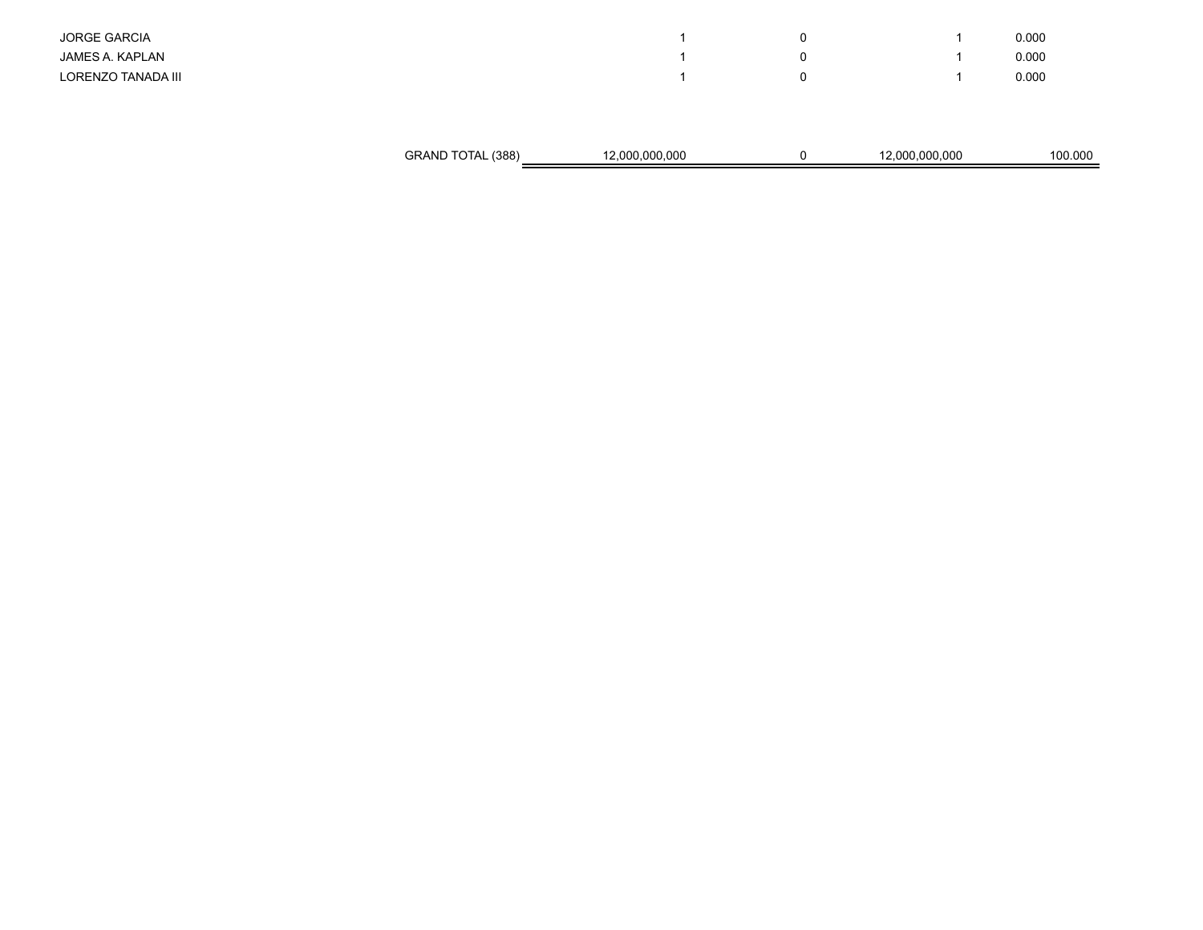|                     | GRAND TOTAL (388) | 12,000,000,000 | 0 | 12,000,000,000 | 100.000 |
|---------------------|-------------------|----------------|---|----------------|---------|
|                     |                   |                |   |                |         |
| LORENZO TANADA III  |                   |                | 0 |                | 0.000   |
| JAMES A. KAPLAN     |                   |                | 0 |                | 0.000   |
| <b>JORGE GARCIA</b> |                   |                | 0 |                | 0.000   |
|                     |                   |                |   |                |         |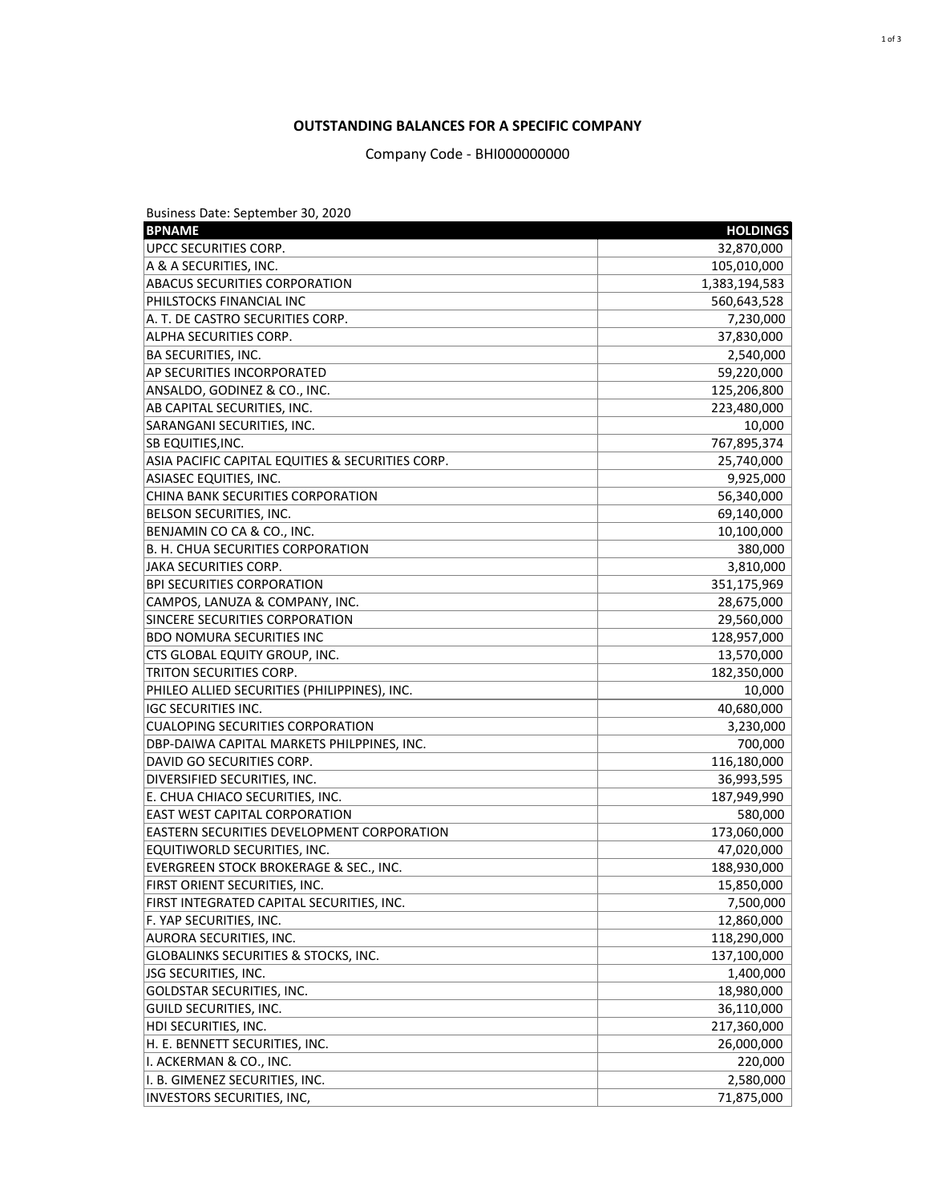Business Date: September 30, 2020

| <b>BPNAME</b>                                     | <b>HOLDINGS</b> |
|---------------------------------------------------|-----------------|
| UPCC SECURITIES CORP.                             | 32,870,000      |
| A & A SECURITIES, INC.                            | 105,010,000     |
| <b>ABACUS SECURITIES CORPORATION</b>              | 1,383,194,583   |
| PHILSTOCKS FINANCIAL INC                          | 560,643,528     |
| A. T. DE CASTRO SECURITIES CORP.                  | 7,230,000       |
| ALPHA SECURITIES CORP.                            | 37,830,000      |
| <b>BA SECURITIES, INC.</b>                        | 2,540,000       |
| AP SECURITIES INCORPORATED                        | 59,220,000      |
| ANSALDO, GODINEZ & CO., INC.                      | 125,206,800     |
| AB CAPITAL SECURITIES, INC.                       | 223,480,000     |
| SARANGANI SECURITIES, INC.                        | 10,000          |
| SB EQUITIES, INC.                                 | 767,895,374     |
| ASIA PACIFIC CAPITAL EQUITIES & SECURITIES CORP.  | 25,740,000      |
| <b>ASIASEC EQUITIES, INC.</b>                     | 9,925,000       |
| <b>CHINA BANK SECURITIES CORPORATION</b>          | 56,340,000      |
| BELSON SECURITIES, INC.                           | 69,140,000      |
| BENJAMIN CO CA & CO., INC.                        | 10,100,000      |
| <b>B. H. CHUA SECURITIES CORPORATION</b>          | 380,000         |
| <b>JAKA SECURITIES CORP.</b>                      | 3,810,000       |
| <b>BPI SECURITIES CORPORATION</b>                 | 351,175,969     |
| CAMPOS, LANUZA & COMPANY, INC.                    | 28,675,000      |
| SINCERE SECURITIES CORPORATION                    | 29,560,000      |
| <b>BDO NOMURA SECURITIES INC</b>                  | 128,957,000     |
| CTS GLOBAL EQUITY GROUP, INC.                     | 13,570,000      |
| TRITON SECURITIES CORP.                           | 182,350,000     |
| PHILEO ALLIED SECURITIES (PHILIPPINES), INC.      | 10,000          |
| <b>IGC SECURITIES INC.</b>                        | 40,680,000      |
| <b>CUALOPING SECURITIES CORPORATION</b>           | 3,230,000       |
| DBP-DAIWA CAPITAL MARKETS PHILPPINES, INC.        | 700,000         |
| DAVID GO SECURITIES CORP.                         | 116,180,000     |
| DIVERSIFIED SECURITIES, INC.                      | 36,993,595      |
| E. CHUA CHIACO SECURITIES, INC.                   | 187,949,990     |
| <b>EAST WEST CAPITAL CORPORATION</b>              | 580,000         |
| <b>EASTERN SECURITIES DEVELOPMENT CORPORATION</b> | 173,060,000     |
| EQUITIWORLD SECURITIES, INC.                      | 47,020,000      |
| EVERGREEN STOCK BROKERAGE & SEC., INC.            | 188,930,000     |
| FIRST ORIENT SECURITIES, INC.                     | 15,850,000      |
| FIRST INTEGRATED CAPITAL SECURITIES, INC.         | 7,500,000       |
| F. YAP SECURITIES, INC.                           | 12,860,000      |
| <b>AURORA SECURITIES, INC.</b>                    | 118,290,000     |
| <b>GLOBALINKS SECURITIES &amp; STOCKS, INC.</b>   | 137,100,000     |
| JSG SECURITIES, INC.                              | 1,400,000       |
| <b>GOLDSTAR SECURITIES, INC.</b>                  | 18,980,000      |
| <b>GUILD SECURITIES, INC.</b>                     | 36,110,000      |
| HDI SECURITIES, INC.                              | 217,360,000     |
| H. E. BENNETT SECURITIES, INC.                    | 26,000,000      |
| I. ACKERMAN & CO., INC.                           | 220,000         |
| I. B. GIMENEZ SECURITIES, INC.                    | 2,580,000       |
| INVESTORS SECURITIES, INC,                        | 71,875,000      |

## **OUTSTANDING BALANCES FOR A SPECIFIC COMPANY**

Company Code - BHI000000000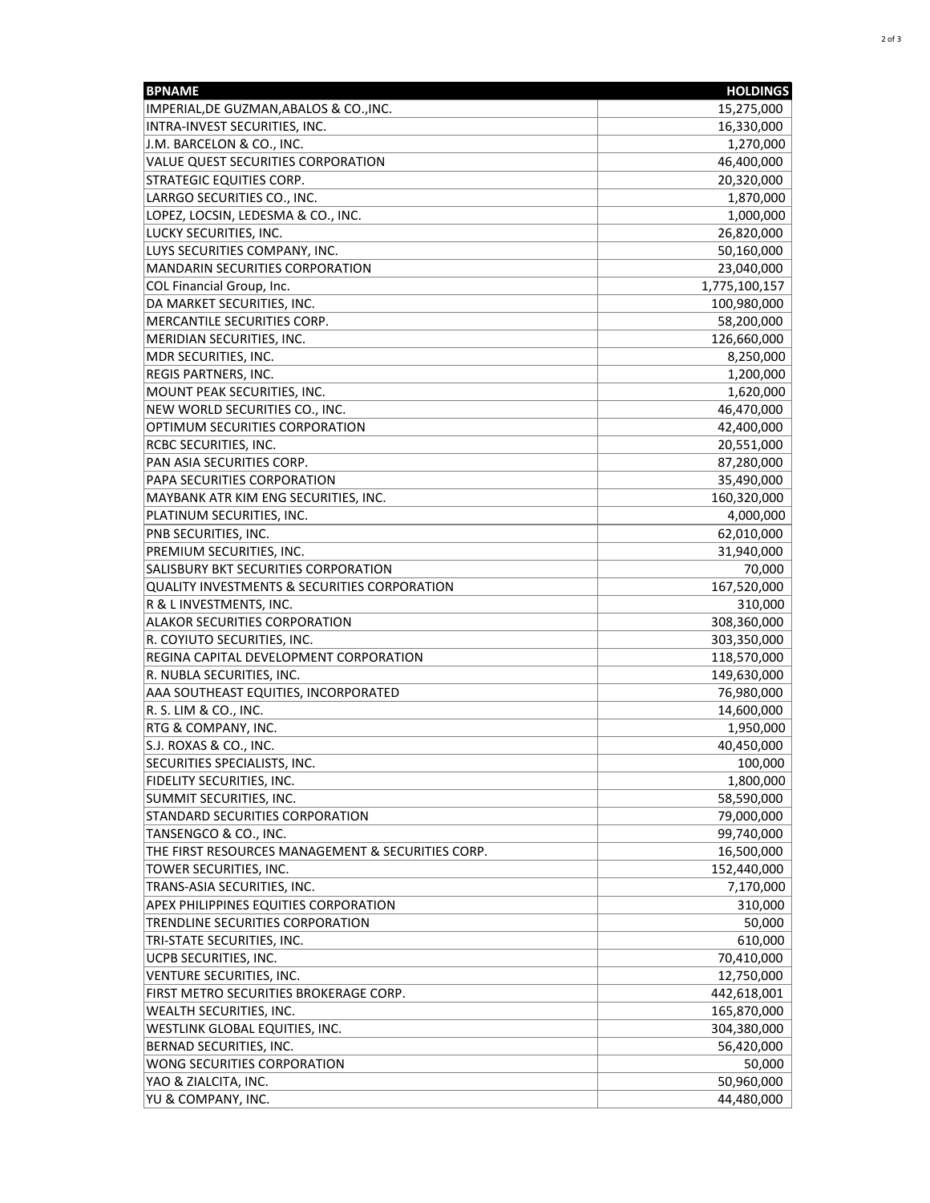| <b>BPNAME</b>                                           | <b>HOLDINGS</b> |
|---------------------------------------------------------|-----------------|
| IMPERIAL, DE GUZMAN, ABALOS & CO., INC.                 | 15,275,000      |
| INTRA-INVEST SECURITIES, INC.                           | 16,330,000      |
| J.M. BARCELON & CO., INC.                               | 1,270,000       |
| <b>VALUE QUEST SECURITIES CORPORATION</b>               | 46,400,000      |
| <b>STRATEGIC EQUITIES CORP.</b>                         | 20,320,000      |
| LARRGO SECURITIES CO., INC.                             | 1,870,000       |
| LOPEZ, LOCSIN, LEDESMA & CO., INC.                      | 1,000,000       |
| LUCKY SECURITIES, INC.                                  | 26,820,000      |
| LUYS SECURITIES COMPANY, INC.                           | 50,160,000      |
| <b>MANDARIN SECURITIES CORPORATION</b>                  | 23,040,000      |
| <b>COL Financial Group, Inc.</b>                        | 1,775,100,157   |
| DA MARKET SECURITIES, INC.                              | 100,980,000     |
| MERCANTILE SECURITIES CORP.                             | 58,200,000      |
| MERIDIAN SECURITIES, INC.                               | 126,660,000     |
| MDR SECURITIES, INC.                                    | 8,250,000       |
| REGIS PARTNERS, INC.                                    | 1,200,000       |
| MOUNT PEAK SECURITIES, INC.                             | 1,620,000       |
| NEW WORLD SECURITIES CO., INC.                          | 46,470,000      |
| OPTIMUM SECURITIES CORPORATION                          | 42,400,000      |
| RCBC SECURITIES, INC.                                   | 20,551,000      |
| PAN ASIA SECURITIES CORP.                               | 87,280,000      |
| PAPA SECURITIES CORPORATION                             | 35,490,000      |
| MAYBANK ATR KIM ENG SECURITIES, INC.                    | 160,320,000     |
| PLATINUM SECURITIES, INC.                               | 4,000,000       |
| PNB SECURITIES, INC.                                    | 62,010,000      |
| PREMIUM SECURITIES, INC.                                | 31,940,000      |
| SALISBURY BKT SECURITIES CORPORATION                    | 70,000          |
| <b>QUALITY INVESTMENTS &amp; SECURITIES CORPORATION</b> | 167,520,000     |
| R & L INVESTMENTS, INC.                                 | 310,000         |
| <b>ALAKOR SECURITIES CORPORATION</b>                    | 308,360,000     |
| R. COYIUTO SECURITIES, INC.                             | 303,350,000     |
| REGINA CAPITAL DEVELOPMENT CORPORATION                  | 118,570,000     |
| R. NUBLA SECURITIES, INC.                               | 149,630,000     |
| AAA SOUTHEAST EQUITIES, INCORPORATED                    | 76,980,000      |
| R. S. LIM & CO., INC.                                   | 14,600,000      |
| RTG & COMPANY, INC.                                     | 1,950,000       |
| S.J. ROXAS & CO., INC.                                  | 40,450,000      |
| SECURITIES SPECIALISTS, INC.                            | 100,000         |
| <b>FIDELITY SECURITIES, INC.</b>                        | 1,800,000       |
| SUMMIT SECURITIES, INC.                                 | 58,590,000      |
| STANDARD SECURITIES CORPORATION                         | 79,000,000      |
| TANSENGCO & CO., INC.                                   | 99,740,000      |
| THE FIRST RESOURCES MANAGEMENT & SECURITIES CORP.       | 16,500,000      |
| TOWER SECURITIES, INC.                                  | 152,440,000     |
| TRANS-ASIA SECURITIES, INC.                             | 7,170,000       |
| APEX PHILIPPINES EQUITIES CORPORATION                   | 310,000         |
| TRENDLINE SECURITIES CORPORATION                        | 50,000          |
| TRI-STATE SECURITIES, INC.                              | 610,000         |
| UCPB SECURITIES, INC.                                   | 70,410,000      |
| <b>VENTURE SECURITIES, INC.</b>                         | 12,750,000      |
| FIRST METRO SECURITIES BROKERAGE CORP.                  | 442,618,001     |
| <b>WEALTH SECURITIES, INC.</b>                          | 165,870,000     |
| WESTLINK GLOBAL EQUITIES, INC.                          | 304,380,000     |
| BERNAD SECURITIES, INC.                                 | 56,420,000      |
| WONG SECURITIES CORPORATION                             | 50,000          |
| YAO & ZIALCITA, INC.                                    | 50,960,000      |
| YU & COMPANY, INC.                                      | 44,480,000      |